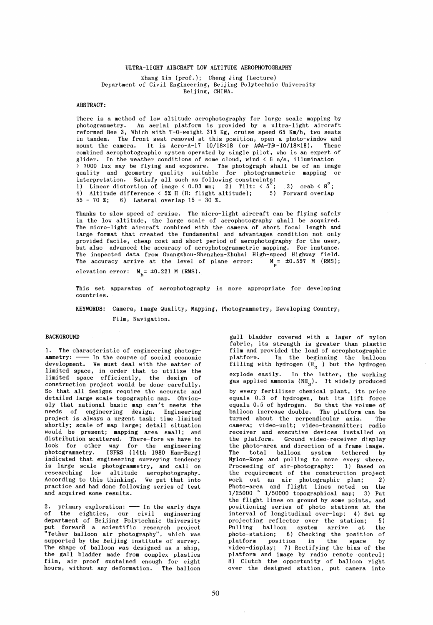# ULTRA-LIGHT AIRCRAFT LOW ALTITUDE AEROPHOTOGRAPHY

Zhang Xin (prof.); Cheng Jing (Lecture) Department of Civil Engineering, Beijing Polytechnic University Beijing, CHINA.

# ABSTRACT:

There is a method of low altitude aerophotography for large scale mapping by photogrammetry. An aerial platform is provided by a ultra-light aircraft reformed Bee 3, Which with T-O-weight 315 Kg, cruise speed 65 Km/h, two seats in tandem. The front seat removed at this position, open a photo-window and mount the camera. It is Aero-A-17  $10/18\times18$  (or  $A\phi A-T=$   $-10/18\times18$ ). These combined aerophotographic system operated by single pilot, who is an expert of glider. In the weather conditions of some cloud, wind  $\langle 8 \text{ m/s}, 111$ umination > 7000 lux may be flying and exposure. The photograph shall be of an image quality and geometry quality suitable for photogrammetric mapping or interpretation. Satisfy all such as following constraints: 1) Linear distortion of image < 0.03 mm; 2) Tilt: <  $5^{\circ}$ ; 3) crab <  $8^{\circ}$ ; 4) Altitude difference < 5% H (H: flight altitude): 5) Forward overlap 55 - 70 %: 6) Lateral overlap 15 - 30 %.

Thanks to slow speed of cruise. The micro-light aircraft can be flying safely in the low altitude, the large scale of aerophotography shall be acquired. The micro-light aircraft combined with the camera of short focal length and large format that created the fundamental and advantages condition not only provided facile, cheap cost and short period of aerophotography for the user, but also advanced the accuracy of aerophotogrammetric mapping. For instance. The inspected data from Guangzhou-Shenzhen-Zhuhai High-speed Highway field. The accuracy arrive at the level of plane error:  $M_p = \pm 0.557 M$  (RMS);

elevation error:  $M_h$  = ±0.221 M (RMS).

This set apparatus of aerophotography is more appropriate for developing countries.

KEYWORDS: Camera, Image Quality, Mapping, Photogrammetry, Developing Country, Film, Navigation.

#### BACKGROUND

1. The characteristic of engineering photogrammetry: --- In the course of social economic development. We must deal with the matter of limited space, in order that to utilize the limited space efficiently, the design of construction project would be done carefully. So that all designs require the accurate and detailed large scale topographie map. Obviously that national basic map can't meets the needs of engineering design. Engineering project is always a urgent task; time limited shortly: scale of map large; detail situation would be present; mapping area small; and distribution scattered. There-fore we have to look for other way for the engineering photogrammetry. ISPRS (14th 1980 Ham-Burg) indicated that engineering surveying tendency is large scale photogrammetry, and call on researching low altitude aerophotography. According to this thinking. We put that into practice and had done following series of test and acquired some results.

2. primary exploration:  $\longrightarrow$  In the early days of the eighties, our civil engineering department of Beijing Polytechnic University put forward a scientific research project "Tether balloon air photography", which was supported by the Beijing institute of survey. The shape of balloon was designed as a ship, the gall bladder made from complex plastics film, air proof sustained enough for eight hours, without any deformation. The balloon

gall bladder covered with a lager of nylon fabric, its strength is greater than plastic film and provided the load of aerophotographic platform. In the beginning the balloon filling with hydrogen  $(H_2)$  but the hydrogen explode easily. In the latter, the working gas applied ammonia  $(NH_3)$ . It widely produced by every fertilizer chemical plant, its price equals 0.3 of hydrogen, but its lift force equals 0.5 of hydrogen. So that the volume of balloon increase double. The platform can be turned about the perpendicular axis. The camera; video-unit; video-transmitter; radio receiver and executive devices installed on the platform. Ground video-receiver display the photo-area and direction of a frame image. The total balloon system tethered by Nylon-Rope and pulling to move every where. Proceeding of air-photography: 1) Based on the requirement of the construction project work out an air photographic plan;<br>Photo-area and flight lines noted on the Photo-area and flight lines noted on  $1/25000$   $\sim$   $1/50000$  topographical map; 3) Put the flight lines on ground by some points, and positioning series of photo stations at the interval of longitudinal over-lap; 4) Set up projecting reflector over the station; Pulling balloon system arrive at the photo-station: 6) Checking the position of platform position in the space by video-display; 7) Rectifying the bias of the platform and image by radio remote control; 8) Clutch the opportunity of balloon right over the designed station, put camera into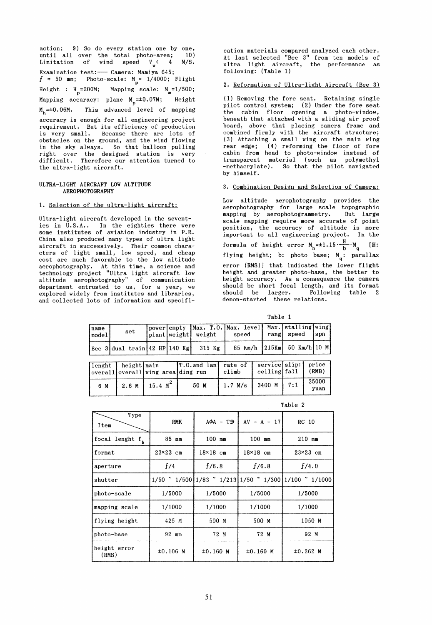action: 9) So do every station one by one, until all over the total photo-area; 10)<br>Limitation of wind speed V < 4 M/S. Limitation of wind speed  $V_{w}$  < 4 Examination test: - Camera: Mamiya 645;  $f = 50$  mm; Photo-scale:  $M_p = 1/4000$ ; Flight Height :  $H_p=200M$ ; Mapping scale:  $M_m=1/500$ ; Mapping accuracy: plane  $M_{\rm p}$ =±0.07M; Height  $M_h$ = $\pm 0.06$ M. This advanced level of mapping accuracy is enough for all engineering project requirement. But its efficiency of production is very small. Because there are lots of obstacles on the ground, and the wind flowing in the sky always. So that balloon pulling right over the designed station is very difficult. Therefore our attention turned to the ultra-light aircraft.

### ULTRA-LIGHT AIRCRAFT LOW ALTITUDE AEROPHOTOGRAPHY

# 1. Selection of the ultra-light aircraft:

Ultra-light aircraft developed in the seventies in U.S.A.. In the eighties there were some institutes of aviation industry in P.R. China also produced many types of ultra light aircraft in successively. Their common characters of light small, low speed, and cheap cost are much favorable to the low altitude aerophotography. At this time, a science and technology project "Ultra light aircraft low altitude aerophotography" of communication department entrusted to us, for a year, we explored widely from institutes and libraries, and collected lots of information and specification materials compared analyzed each other. At last selected "Bee 3" from ten models of ultra light aircraft, the performance as following: (Table 1)

## 2. Reformation of Ultra-light Aircraft (Bee 3)

 $(1)$  Removing the fore seat. Retaining single pilot control system; (2) Under the fore seat the cabin floor opening a photo-window, beneath that attached with a sliding air proof board, above that placing camera frame and combined firmly with the aircraft structure; (3) Attaching a small wing on the main wing rear edge; (4) reforming the floor of fore cabin from head to photo-window instead of transparent material (such as polymethyl -methacrylate). So that the pilot navigated by himself.

#### 3. Combination Design and Selection of Camera:

Low altitude aerophotography provides the aerophotography for large scale topographie mapping by aerophotogrammetry. But large scale mapping require more accurate of point position, the accuracy of altitude is more important to all engineering project. In the formula of height error  $M_h = \pm 1.15 \cdot \frac{H}{b} \cdot M_q$  [H: flying height; b: photo base;  $M_{q}$ : parallax error (RMS)] that indicated the lower flight height and greater photo-base, the better to height accuracy. As a consequence the camera should be short focal length, and its format should be larger. Following table 2 demon-started these relations.

Table 1

| Iname<br>model <sub>l</sub> | $\mathop{\rm set}\nolimits$                    |  | plant weight   weight | power empty Max. T.O. Max. level Max. stalling wing<br>speed | rang speed | $\sqrt{2}$ |
|-----------------------------|------------------------------------------------|--|-----------------------|--------------------------------------------------------------|------------|------------|
|                             | $\left  \right $ Bee 3 dual train 42 HP 140 Kg |  | 315 Kg $\vert$        | 85 Km/h 215Km 50 Km/h 10 M                                   |            |            |
|                             |                                                |  |                       |                                                              |            |            |

|     | lenght   height main | overall overall wing arealding run | [T.O. and lan] rate of   service slip:   price | climb   | ceiling fall | (RMB)         |
|-----|----------------------|------------------------------------|------------------------------------------------|---------|--------------|---------------|
| 6 M |                      | $2.6 M$ 15.4 $M2$                  | 50 M                                           | 1.7 M/s | $3400 M$ 7:1 | 35000<br>yuan |

|                       |         |                 |                                             |  |                 |                                               |                 | $J$ where |
|-----------------------|---------|-----------------|---------------------------------------------|--|-----------------|-----------------------------------------------|-----------------|-----------|
|                       |         |                 |                                             |  |                 |                                               | Table 2         |           |
| Type<br>Item          |         | <b>RMK</b>      | $A\Phi A - T\Theta$                         |  | $AV - A - 17$   |                                               | RC 10           |           |
| focal lenght $f_k$    |         | 85 mm           | $100$ mm                                    |  | 100 mm          |                                               | $210$ mm        |           |
| format                |         | $23\times23$ cm | $18\times18$ cm                             |  | $18\times18$ cm |                                               | $23\times23$ cm |           |
| aperture              |         | f/4             | f/6.8                                       |  | f/6.8           |                                               | f/4.0           |           |
|                       | shutter |                 | $1/50$ $\degree$ 1/500 1/83 $\degree$ 1/213 |  |                 | $1/50$ $\degree$ 1/300 1/100 $\degree$ 1/1000 |                 |           |
| photo-scale           |         | 1/5000          | 1/5000                                      |  | 1/5000          |                                               |                 | 1/5000    |
| mapping scale         |         | 1/1000          | 1/1000                                      |  | 1/1000          |                                               | 1/1000          |           |
| flying height         |         | 425 M           | 500 M                                       |  | 500 M           |                                               | 1050 M          |           |
| photo-base            |         | 92 mm           | 72 M                                        |  | 72 M            |                                               |                 | 92 M      |
| height error<br>(RMS) |         | $±0.106$ M      | $±0.160$ M                                  |  | $±0.160$ M      |                                               | $±0.262$ M      |           |

 $T_{\rm max}$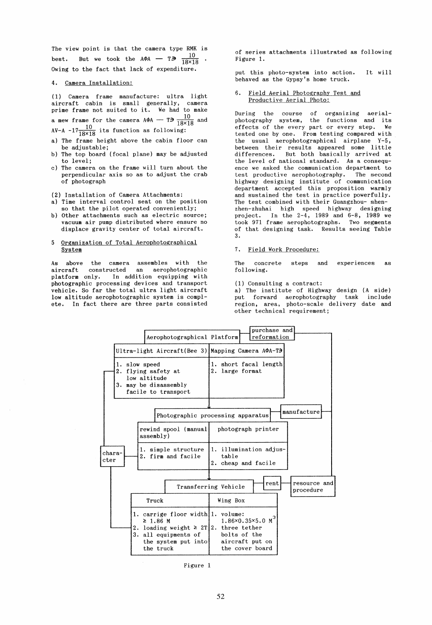The view point is that the camera type RMK is best. But we took the  $A\phi A$  - T $\bar{3}$   $\frac{10}{18\times18}$ Owing to the fact that lack of expenditure.

### 4. Camera Installation:

(1) Camera frame manufacture: ultra light aircraft cabin is small generally, camera prime frame not suited to it. We had to make

a mew frame for the camera AΦA -- T∋  $\frac{10}{18\times18}$  and

AV-A  $-17\frac{10}{18\times18}$  its function as following:

- a) The frame height above the cabin floor can be adjustable;
- b) The top board (focal plane) may be adjusted to level;
- c) The camera on the frame will turn about the perpendicular axis so as to adjust the crab of photograph

### (2) Installation of Camera Attachments:

- a) Time interval control seat on the position
- so that the pilot operated conveniently; b) Other attachments such as electric source; vacuum air pump distributed where ensure no displace gravity center of total aircraft.

### 5 Organization of Total Aerophotographical System

As above the camera assembles with the aircraft constructed an aerophotographic platform only. In addition equipping with photographic processing devices and transport vehicle. So far the total ultra light aircraft low altitude aerophotographic system is complete. In fact there are three parts consisted of series attachments illustrated as following Figure 1.

put this photo-system into action. behaved as the Gypsy's home truck. It will

### Field Aerial Photography Test and Productive Aerial Photo:

During the course of organizing aerialphotography system, the functions and its effects of the every part or every step. We tested one by one. From testing compared with the usual aerophotographical airplane Y-5, between their results appeared some little differences. But both basically arrived at the level of national standard. As a consequence we asked the communication department to test productive aerophotography. The second highway designing institute of communication department accepted this proposition warmly and sustained the test in practice powerfully. The test combined with their Guangzhou- shenzhen-zhuhai high speed highway designing project. In the 2-4, 1989 and 6-8, 1989 we took 971 frame aerophotographs. Two segments of that designing task. Results seeing Table 3.

### 7. Field Work Procedure:

The concrete following. steps and experiences as

(1) Consulting a contract:

a) The institute of Highway design (A side) put forward aerophotography task include region, area, photo-scale delivery date and other technical requirement;



Figure 1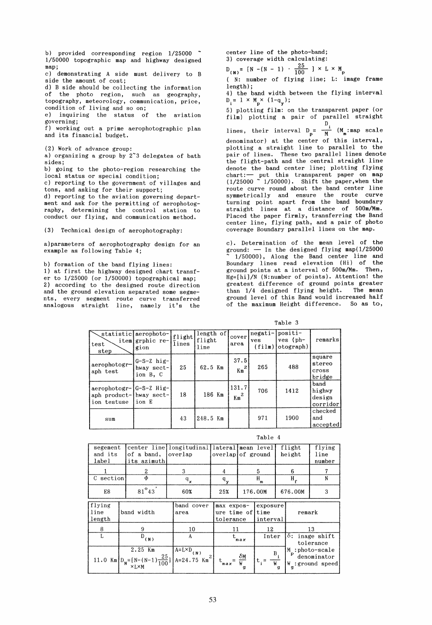b) provided corresponding region 1/25000  $\degree$ 1/50000 topographie map and highway designed map;

c) demonstrating A side must delivery to B side the amount of cost;

d) B side should be collecting the information of the photo region, such as geography, topography, meteorology, communication, price, condition of living and so on;

e) inquiring the status of the aviation governing;

f) working out a prime aerophotographic plan and its financial budget.

(2) Work of advance group:

a) organizing a group by 2~3 delegates of bath sides;

b) going to the photo-region researching the local status or special condition;

c) reporting to the government of villages and tons, and asking for their support;

d) reporting to the aviation governing department and ask for the permitting of aerophotography, determining the control station to conduct our flying, and communication method.

(3) Technical design of aerophotography:

a)parameters of aerophotography design for an example as following Table 4;

b) formation of the band flying lines:

1) at first the highway designed chart transfer to  $1/25000$  (or  $1/50000$ ) topographical map; 2) according to the designed route direction and the ground elevation separated some segments, every segment route curve transferred analogous straight line, namely it's the center line of the photo-band; 3) coverage width calculating:

 $D_{(N)} = [N - (N - 1) \cdot \frac{25}{100}] \times L \times M_{p}$ 

( N: number of flying line; L: image frame length) ;

4) the band width between the flying interval  $D_i = 1 \times M_p \times (1-q_y);$ 

5) plotting film: on the transparent paper (or film) plotting a pair of parallel straight

lines, their interval  $D_p = \frac{D_i}{M}$  ( $M_m$ :map scale denominator) at the center of this interval, plotting a straight line to parallel to the pair of lines. These two parallel lines denote the flight-path and the central straight line denote the band center line; plotting flying chart: - put this transparent paper on map  $(1/25000 \times 1/50000)$ . Shift the paper, when the route curve round about the band center line symmetrically and ensure the route curve turning point apart from the band boundary straight lines at a distance of 500m/Mm. Placed the paper firmly, transferring the Band center line, flying path, and a pair of photo coverage Boundary parallel lines on the map.

cl. Determination of the mean level of the ground:  $-$  In the designed flying map(1/25000 1/50000), Along the Band center line and Boundary lines read elevation (Hi) of the ground points at a interval of 500m/Mm. Then, Hg=[hiJ/N (N:number of points). Attention! the greatest difference of ground points greater than 1/4 designed flying height. The mean ground level of this Band would increased half of the maximum Height difference. So as to,

Table 3

|                                                                   |                                            |                 |                             |                          |                          | Table 3                               |                                      |
|-------------------------------------------------------------------|--------------------------------------------|-----------------|-----------------------------|--------------------------|--------------------------|---------------------------------------|--------------------------------------|
| iteml<br>test<br>step                                             | statistic aerophoto-<br>grphic re-<br>gion | flight<br>lines | length of<br>flight<br>line | cover<br>area            | negati-<br>ves<br>(film) | positi-<br>$ves$ ( $ph-$<br>otograph) | remarks                              |
| aerophotogr-<br>aph test                                          | $G-S-Z$ hig-<br>hway sect-<br>ion B, C     | 25              | 62.5 Km                     | 37.5<br>$Km^2$           | 265                      | 488                                   | square<br>stereo<br>cross<br>bridge  |
| aerophotogr-1G-S-Z Hig-<br>aph product-lhway sect-<br>ion testuse | ion E                                      | 18              | 186 Km                      | 131.7<br>$\mathrm{Km}^2$ | 706                      | 1412                                  | band<br>highwy<br>design<br>corridor |
| sum                                                               |                                            | 43              | 248.5 Km                    |                          | 971                      | 1900                                  | checked<br>and<br>accepted           |

| ۰. |  |
|----|--|
|----|--|

| segement<br>and its<br>label                                                       |            | of a band,<br>its azimuth                                | center line longitudinal lateral mean level<br>overlap | overlap of ground                                          |                                             |         |                                     | flight<br>height                                      | flying<br>line<br>number |  |
|------------------------------------------------------------------------------------|------------|----------------------------------------------------------|--------------------------------------------------------|------------------------------------------------------------|---------------------------------------------|---------|-------------------------------------|-------------------------------------------------------|--------------------------|--|
|                                                                                    |            | 2                                                        | 3                                                      | 4                                                          | 5                                           |         | 6                                   |                                                       | 7                        |  |
| C section                                                                          |            | Φ                                                        | $\mathbf{q}_{_{\boldsymbol{\mathsf{X}}}}$              | $\mathbf{q}_{_{\mathbf{y}}}$                               | H<br>m                                      |         | $H_{\mathbf{r}}$                    |                                                       | N                        |  |
| $81^\circ 43'$<br>E8                                                               |            | $60\%$                                                   | 25%                                                    | 176.00M                                                    |                                             | 676.00M |                                     | 3                                                     |                          |  |
| flying<br>lline<br>length                                                          | band width |                                                          | band cover<br>area                                     |                                                            | max expos-<br>ure time of time<br>tolerance |         | exposure<br>interval                |                                                       | remark                   |  |
| 8                                                                                  |            | 9                                                        | 10                                                     | 11                                                         |                                             | 12      |                                     | 13                                                    |                          |  |
| L<br>$D$ <sub>(N)</sub>                                                            |            | A                                                        |                                                        | Inter<br>max                                               |                                             |         | $\delta$ : inage shift<br>tolerance |                                                       |                          |  |
| $2.25$ Km<br>11.0 Km $D_N = [N - (N-1)\frac{25}{100}]$ $A = 24.75$ Km <sup>2</sup> |            | $\sqrt{\mathbf{A}^{\mathbf{=}L\times D}}$ <sub>(N)</sub> |                                                        | $\mathbf{t}_{\max} = \frac{\delta \mathbf{M}}{\mathbf{W}}$ |                                             | $B_i$   |                                     | M :photo-scale<br>denominator<br>$W_g$ : ground speed |                          |  |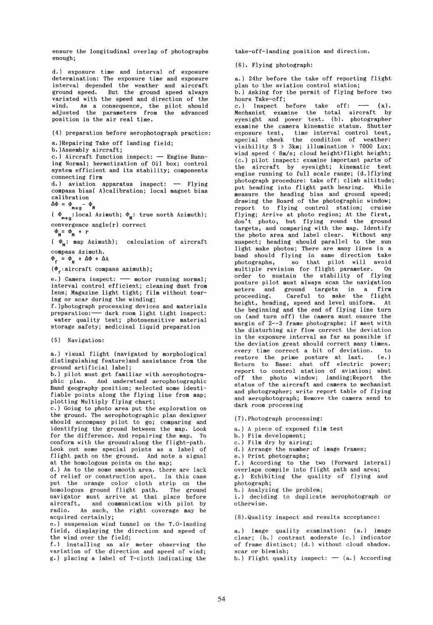ensure the longitudinal overlap of photographs enough;

d.) exposure time and interval of exposure determination: The exposure time and exposure interval depended the weather and aircraft ground speed. But the ground speed always variated with the speed and direction of the wind. As a consequence, the pilot should adjusted the parameters from the advanced position in the air real time.

(4) preparation before aerophotograph practice:

a.)Repairing Take off landing field;

b. )Assembly aircraft;

 $c.$ ) Aircraft function inspect:  $-$  Engine Running Normal; hermetization of Oil box; control system efficient and its stability; components connecting firm

d.) aviation apparatus inspect: - Flying compass bias{ A)calibration; local magnet bias calibration

 $\Delta\Phi = \Phi_{\text{mag}} - \Phi_{\text{N}}$ 

( $\phi_{\text{mag}}$ : local Azimuth;  $\phi_{\text{N}}$ : true north Azimuth); convergence angle(r) correct

 $\Phi_{\mathbf{N}} = \Phi_{\mathbf{M}} + \mathbf{r}$ 

( $\phi_M$ : map Azimuth); calculation of aircraft compass Azimuth.

 $\Phi_{\mathbf{r}} = \Phi_{\mathbf{N}} + \Delta \Phi + \Delta A$ 

 $(\Phi_{r}:$ aircraft compass azimuth);

e.) Camera inspect: -- motor running normal; interval control efficient; cleaning dust from lens; Magazine light tight; film without tearing or scar during the winding;

f.)photograph processing devices and materials preparation:--- dark room light tight inspect:<br>water quality test; photosensitive material storage safety; medicinal liquid preparation

(5) Navigation:

a.) visual flight (navigated by morphological distinguishing feature)and assistance from the ground artificial label;

b.) pilot must get familiar with aerophotographic plan. And understand aerophotographic Band geography position; selected some identifiable points along the flying line from map; plotting Multiply flying chart;

c.) Going to photo area put the exploration on the ground. The aerophotographic plan designer should accompany pilot to go; comparing and identifying the ground between the map. Look for the difference. And repairing the map. To conform with the ground:along the flight-path. Look out some special points as a label of flight path on the ground. And note a signal at the homologous points on the map;

d.) As to the some smooth area. there are lack of relief or construction spot. In this case put the orange color cloth strip on the homologous ground flight path. The ground navigator must arrive at that place before aircraft, and communication with pilot by radio. As such, the right coverage may be acquired certainly;

e.) suspension wind tunnel on the T.O-landing field, displaying the direction and speed of the wind over the field;

f.) installing an air meter observing the variation of the direction and speed of wind; g.) placing a label of T-cloth indicating the

take-off-landing position and direction.

(6). Flying photograph:

a.) 24hr before the take off reporting flight plan to the aviation control station; b.) Asking for the permit of flying before two

hours Take-off; c.) Inspect before take off:  $-$  (a). Mechanist examine the total aircraft by eyesight and power test. (b). photographer examine the camera kinematic status. Shutter exposure test, time interval control test, special cheek the condition of weather: visibility  $S > 3km$ ; illumination > 7000 Lux; wind speed  $\langle$  8m/s; cloud height>flight height; (c.) pilot inspect: examine important parts of the aircraft by eyesight; kinematic test engine running to full scale range; (d.)flying photograph procedure: take off: climb altitude; put heading into flight path bearing. While measure the heading bias and ground speed; drawing the Board of the photographic window; report to flying control station; cruise flying; Arrive at photo region; At the first, don't photo, but flying round the ground targets, and comparing with the map. Identify the photo area and label clear. Without any suspect; heading should parallel to the sun light make photos; There are many lines in a band should flying in same direction take photographs, so that pilot will avoid multiple revision for flight parameter. On order to sustain the stability of flying posture pilot must always scan the navigation meters and ground targets in a firm proceeding. Careful to make the flight height, heading, speed and level uniform. At the beginning and the end of flying line turn on (and turn off) the camera must ensure the margin of 2--3 frame photographs; if meet with the disturbing air flow correct the deviation in the exposure interval as far as possible if the deviation great should correct many times. every time correct a bit of deviation. to restore the prime posture at last.  $(e_{i})$ Return to Base: shut off electric power; report to control station of aviation; shut off the photo window; landing;Report the status of the aircraft and camera to mechanist and photographer; write report table of flying and aerophotograph; Remove the camera send to dark room processing

(7).Photograph processing:

a.) A piece of exposed film test b.) Film development; c.) Film dry by airing; d.) Arrange the number of image frames; e.) Print photographs; f.) According to the two (Forward lateral) overlaps compile into flight path and area; g.) Exhibiting the quality of flying and photograph; h.) Analyzing the problem: i.) deciding to duplicate aerophotograph or otherwise. (8),Quality inspect and results acceptance: a.) Image quality examination: (a.) image

clear; (b.) contrast moderate (c.) indicator of frame distinct; (d.) without cloud shadow. scar or blemish;

b.) Flight quality inspect:  $-$  (a.) According